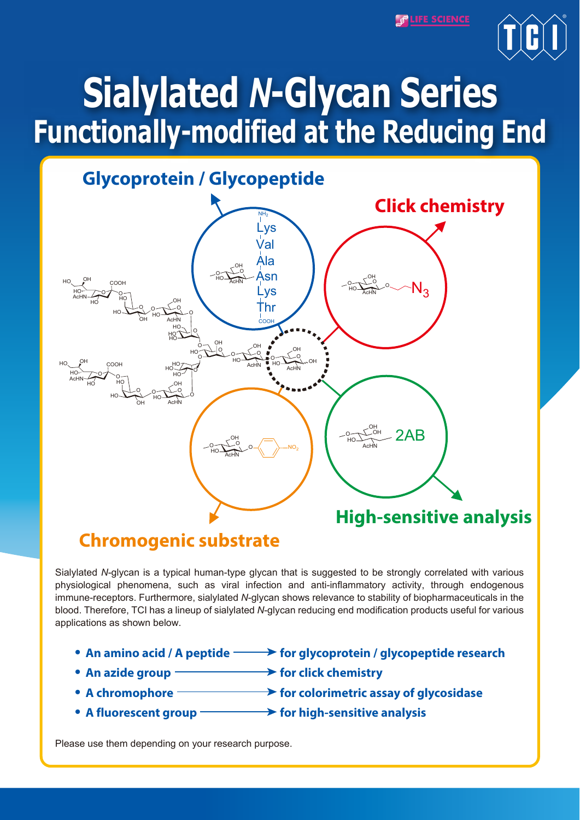**PLIFE SCIENCE** 



# **Sialylated** *N***-Glycan Series Functionally-modified at the Reducing End**



## **Chromogenic substrate**

Sialylated *N*-glycan is a typical human-type glycan that is suggested to be strongly correlated with various physiological phenomena, such as viral infection and anti-inflammatory activity, through endogenous immune-receptors. Furthermore, sialylated *N*-glycan shows relevance to stability of biopharmaceuticals in the blood. Therefore, TCI has a lineup of sialylated *N*-glycan reducing end modification products useful for various applications as shown below.

- An amino acid / A peptide **For glycoprotein / glycopeptide research**
- An azide group **For click chemistry**
- A chromophore **for colorimetric assay of glycosidase**
- A fluorescent group **Fighter Sensitive Sensitive analysis**

Please use them depending on your research purpose.